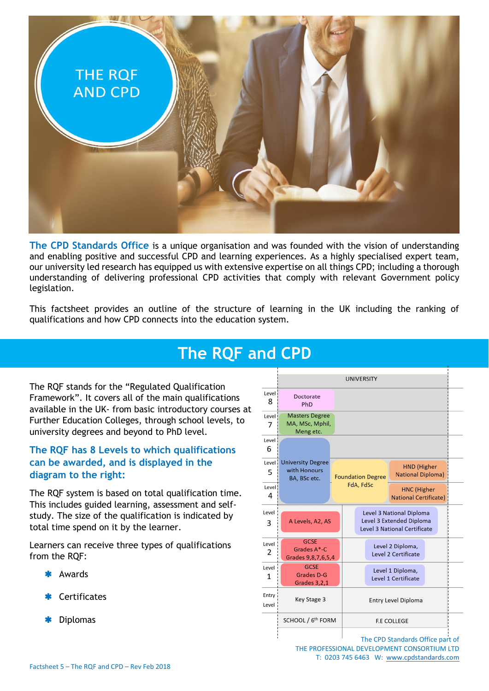

**The CPD Standards Office** is a unique organisation and was founded with the vision of understanding and enabling positive and successful CPD and learning experiences. As a highly specialised expert team, our university led research has equipped us with extensive expertise on all things CPD; including a thorough understanding of delivering professional CPD activities that comply with relevant Government policy legislation.

This factsheet provides an outline of the structure of learning in the UK including the ranking of qualifications and how CPD connects into the education system.

## **The RQF and CPD**

The RQF stands for the "Regulated Qualification Framework". It covers all of the main qualifications available in the UK- from basic introductory courses at Further Education Colleges, through school levels, to university degrees and beyond to PhD level.

## **The RQF has 8 Levels to which qualifications can be awarded, and is displayed in the diagram to the right:**

The RQF system is based on total qualification time. This includes guided learning, assessment and selfstudy. The size of the qualification is indicated by total time spend on it by the learner.

Learners can receive three types of qualifications from the RQF:

- Awards
- Certificates
- Diplomas



The CPD Standards Office part of THE PROFESSIONAL DEVELOPMENT CONSORTIUM LTD T: 0203 745 6463 W: [www.cpdstandards.com](http://www.cpdstandards.com/)